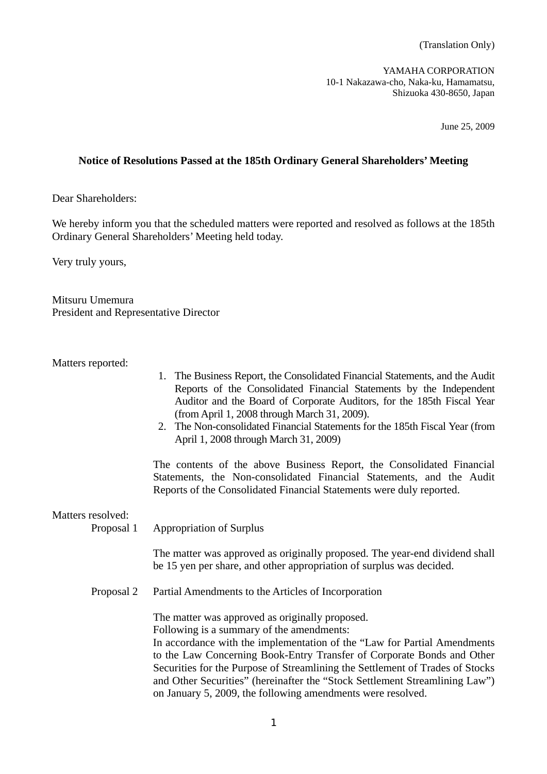YAMAHA CORPORATION 10-1 Nakazawa-cho, Naka-ku, Hamamatsu, Shizuoka 430-8650, Japan

June 25, 2009

## **Notice of Resolutions Passed at the 185th Ordinary General Shareholders' Meeting**

Dear Shareholders:

We hereby inform you that the scheduled matters were reported and resolved as follows at the 185th Ordinary General Shareholders' Meeting held today.

Very truly yours,

Mitsuru Umemura President and Representative Director

Matters reported:

- 1. The Business Report, the Consolidated Financial Statements, and the Audit Reports of the Consolidated Financial Statements by the Independent Auditor and the Board of Corporate Auditors, for the 185th Fiscal Year (from April 1, 2008 through March 31, 2009).
- 2. The Non-consolidated Financial Statements for the 185th Fiscal Year (from April 1, 2008 through March 31, 2009)

 The contents of the above Business Report, the Consolidated Financial Statements, the Non-consolidated Financial Statements, and the Audit Reports of the Consolidated Financial Statements were duly reported.

Matters resolved:

Proposal 1 Appropriation of Surplus

 The matter was approved as originally proposed. The year-end dividend shall be 15 yen per share, and other appropriation of surplus was decided.

Proposal 2 Partial Amendments to the Articles of Incorporation

The matter was approved as originally proposed.

Following is a summary of the amendments:

 In accordance with the implementation of the "Law for Partial Amendments to the Law Concerning Book-Entry Transfer of Corporate Bonds and Other Securities for the Purpose of Streamlining the Settlement of Trades of Stocks and Other Securities" (hereinafter the "Stock Settlement Streamlining Law") on January 5, 2009, the following amendments were resolved.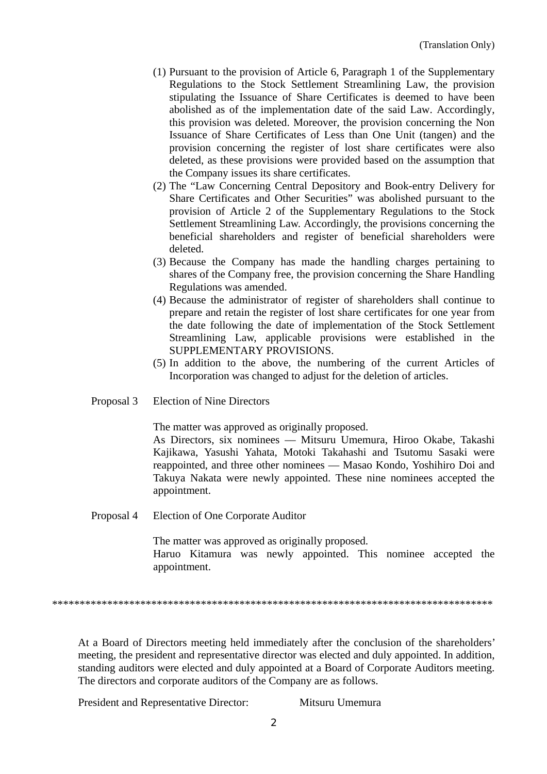- (1) Pursuant to the provision of Article 6, Paragraph 1 of the Supplementary Regulations to the Stock Settlement Streamlining Law, the provision stipulating the Issuance of Share Certificates is deemed to have been abolished as of the implementation date of the said Law. Accordingly, this provision was deleted. Moreover, the provision concerning the Non Issuance of Share Certificates of Less than One Unit (tangen) and the provision concerning the register of lost share certificates were also deleted, as these provisions were provided based on the assumption that the Company issues its share certificates.
- (2) The "Law Concerning Central Depository and Book-entry Delivery for Share Certificates and Other Securities" was abolished pursuant to the provision of Article 2 of the Supplementary Regulations to the Stock Settlement Streamlining Law. Accordingly, the provisions concerning the beneficial shareholders and register of beneficial shareholders were deleted.
- (3) Because the Company has made the handling charges pertaining to shares of the Company free, the provision concerning the Share Handling Regulations was amended.
- (4) Because the administrator of register of shareholders shall continue to prepare and retain the register of lost share certificates for one year from the date following the date of implementation of the Stock Settlement Streamlining Law, applicable provisions were established in the SUPPLEMENTARY PROVISIONS.
- (5) In addition to the above, the numbering of the current Articles of Incorporation was changed to adjust for the deletion of articles.
- Proposal 3 Election of Nine Directors

The matter was approved as originally proposed.

 As Directors, six nominees –– Mitsuru Umemura, Hiroo Okabe, Takashi Kajikawa, Yasushi Yahata, Motoki Takahashi and Tsutomu Sasaki were reappointed, and three other nominees –– Masao Kondo, Yoshihiro Doi and Takuya Nakata were newly appointed. These nine nominees accepted the appointment.

Proposal 4 Election of One Corporate Auditor

 The matter was approved as originally proposed. Haruo Kitamura was newly appointed. This nominee accepted the appointment.

\*\*\*\*\*\*\*\*\*\*\*\*\*\*\*\*\*\*\*\*\*\*\*\*\*\*\*\*\*\*\*\*\*\*\*\*\*\*\*\*\*\*\*\*\*\*\*\*\*\*\*\*\*\*\*\*\*\*\*\*\*\*\*\*\*\*\*\*\*\*\*\*\*\*\*\*\*\*\*\*

At a Board of Directors meeting held immediately after the conclusion of the shareholders' meeting, the president and representative director was elected and duly appointed. In addition, standing auditors were elected and duly appointed at a Board of Corporate Auditors meeting. The directors and corporate auditors of the Company are as follows.

President and Representative Director: Mitsuru Umemura